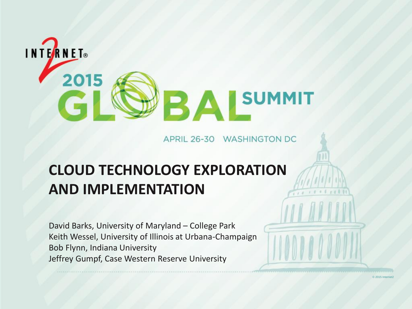

APRIL 26-30 WASHINGTON DC

© 2015 Internet2

#### **CLOUD TECHNOLOGY EXPLORATION AND IMPLEMENTATION**

David Barks, University of Maryland – College Park Keith Wessel, University of Illinois at Urbana-Champaign Bob Flynn, Indiana University Jeffrey Gumpf, Case Western Reserve University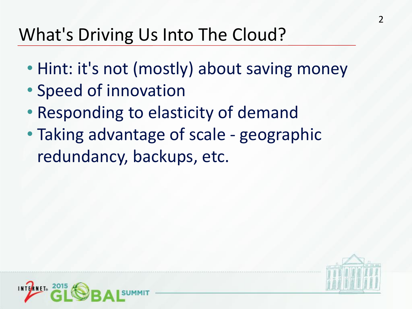## What's Driving Us Into The Cloud?

- Hint: it's not (mostly) about saving money
- Speed of innovation
- Responding to elasticity of demand
- Taking advantage of scale geographic redundancy, backups, etc.



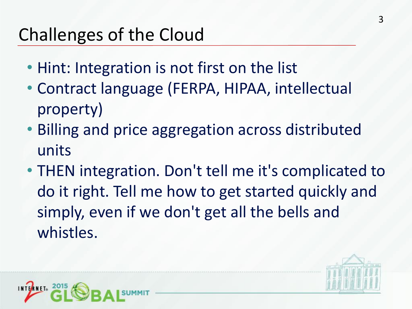# Challenges of the Cloud

- Hint: Integration is not first on the list
- Contract language (FERPA, HIPAA, intellectual property)
- Billing and price aggregation across distributed units
- THEN integration. Don't tell me it's complicated to do it right. Tell me how to get started quickly and simply, even if we don't get all the bells and whistles.



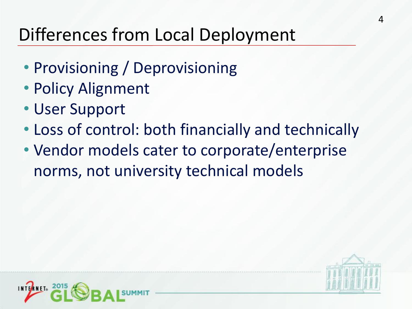# Differences from Local Deployment

- Provisioning / Deprovisioning
- Policy Alignment
- User Support
- Loss of control: both financially and technically
- Vendor models cater to corporate/enterprise norms, not university technical models



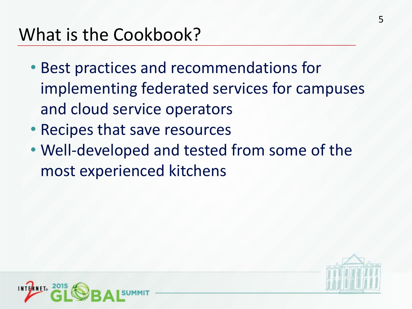### What is the Cookbook?

- Best practices and recommendations for implementing federated services for campuses and cloud service operators
- Recipes that save resources
- Well-developed and tested from some of the most experienced kitchens



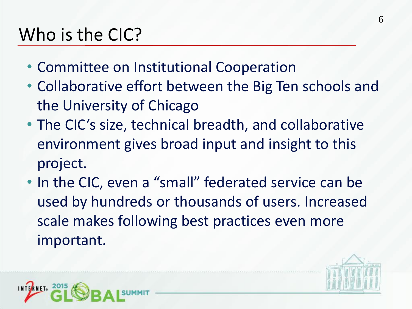# Who is the CIC?

- Committee on Institutional Cooperation
- Collaborative effort between the Big Ten schools and the University of Chicago
- The CIC's size, technical breadth, and collaborative environment gives broad input and insight to this project.
- In the CIC, even a "small" federated service can be used by hundreds or thousands of users. Increased scale makes following best practices even more important.



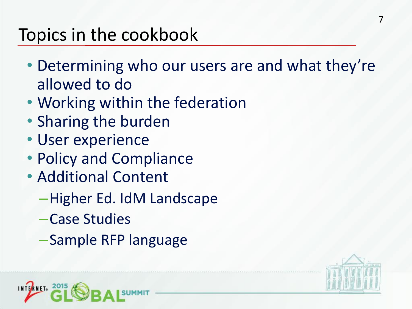## Topics in the cookbook

- Determining who our users are and what they're allowed to do
- Working within the federation
- Sharing the burden
- User experience
- Policy and Compliance
- Additional Content
	- –Higher Ed. IdM Landscape
	- –Case Studies
	- –Sample RFP language



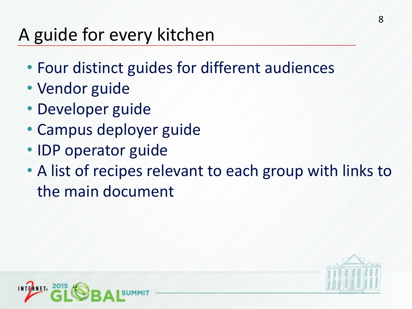## A guide for every kitchen

- Four distinct guides for different audiences
- Vendor guide
- Developer guide
- Campus deployer guide
- IDP operator guide
- A list of recipes relevant to each group with links to the main document



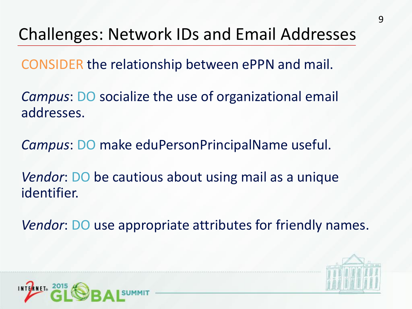#### Challenges: Network IDs and Email Addresses

CONSIDER the relationship between ePPN and mail.

*Campus*: DO socialize the use of organizational email addresses.

*Campus*: DO make eduPersonPrincipalName useful.

*Vendor*: DO be cautious about using mail as a unique identifier.

*Vendor*: DO use appropriate attributes for friendly names.



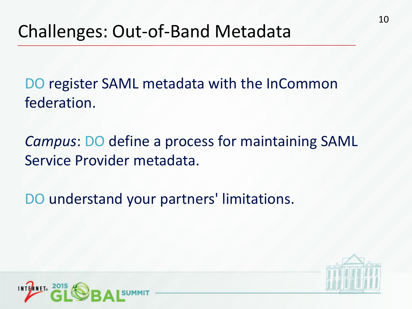DO register SAML metadata with the InCommon federation.

*Campus*: DO define a process for maintaining SAML Service Provider metadata.

DO understand your partners' limitations.



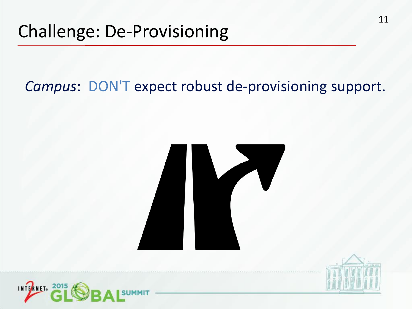#### *Campus*: DON'T expect robust de-provisioning support.





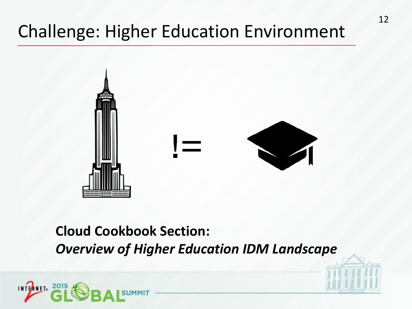## Challenge: Higher Education Environment



#### **Cloud Cookbook Section:** *Overview of Higher Education IDM Landscape*